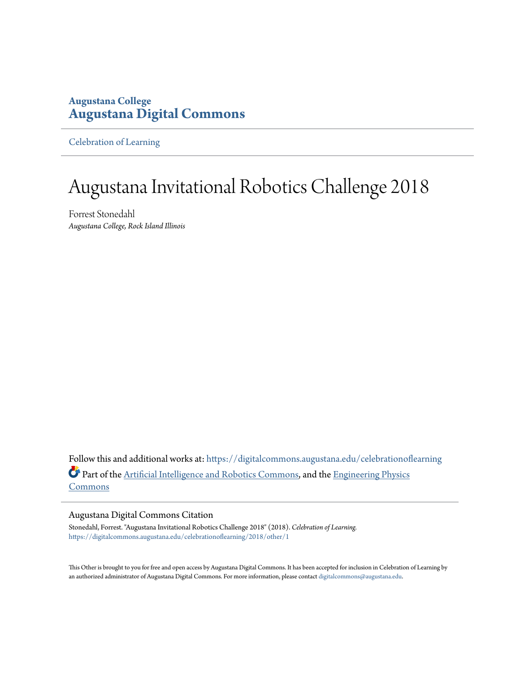#### **Augustana College [Augustana Digital Commons](https://digitalcommons.augustana.edu?utm_source=digitalcommons.augustana.edu%2Fcelebrationoflearning%2F2018%2Fother%2F1&utm_medium=PDF&utm_campaign=PDFCoverPages)**

[Celebration of Learning](https://digitalcommons.augustana.edu/celebrationoflearning?utm_source=digitalcommons.augustana.edu%2Fcelebrationoflearning%2F2018%2Fother%2F1&utm_medium=PDF&utm_campaign=PDFCoverPages)

## Augustana Invitational Robotics Challenge 2018

Forrest Stonedahl *Augustana College, Rock Island Illinois*

Follow this and additional works at: [https://digitalcommons.augustana.edu/celebrationoflearning](https://digitalcommons.augustana.edu/celebrationoflearning?utm_source=digitalcommons.augustana.edu%2Fcelebrationoflearning%2F2018%2Fother%2F1&utm_medium=PDF&utm_campaign=PDFCoverPages) Part of the [Artificial Intelligence and Robotics Commons,](http://network.bepress.com/hgg/discipline/143?utm_source=digitalcommons.augustana.edu%2Fcelebrationoflearning%2F2018%2Fother%2F1&utm_medium=PDF&utm_campaign=PDFCoverPages) and the [Engineering Physics](http://network.bepress.com/hgg/discipline/200?utm_source=digitalcommons.augustana.edu%2Fcelebrationoflearning%2F2018%2Fother%2F1&utm_medium=PDF&utm_campaign=PDFCoverPages) [Commons](http://network.bepress.com/hgg/discipline/200?utm_source=digitalcommons.augustana.edu%2Fcelebrationoflearning%2F2018%2Fother%2F1&utm_medium=PDF&utm_campaign=PDFCoverPages)

#### Augustana Digital Commons Citation

Stonedahl, Forrest. "Augustana Invitational Robotics Challenge 2018" (2018). *Celebration of Learning.* [https://digitalcommons.augustana.edu/celebrationoflearning/2018/other/1](https://digitalcommons.augustana.edu/celebrationoflearning/2018/other/1?utm_source=digitalcommons.augustana.edu%2Fcelebrationoflearning%2F2018%2Fother%2F1&utm_medium=PDF&utm_campaign=PDFCoverPages)

This Other is brought to you for free and open access by Augustana Digital Commons. It has been accepted for inclusion in Celebration of Learning by an authorized administrator of Augustana Digital Commons. For more information, please contact [digitalcommons@augustana.edu](mailto:digitalcommons@augustana.edu).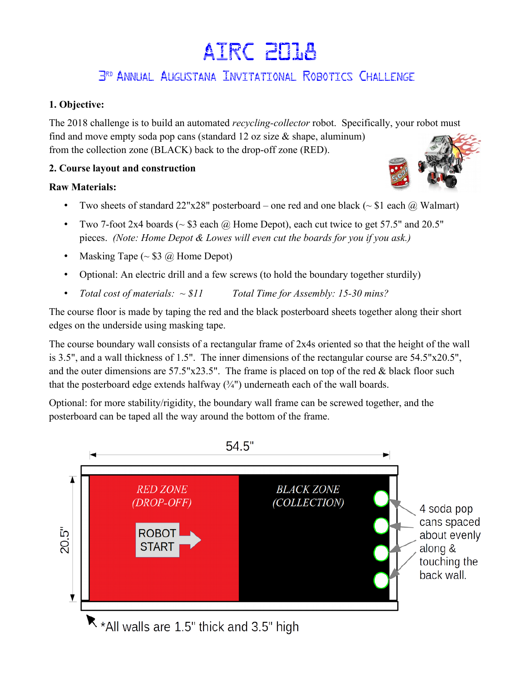# AIRC 2018

### 3 rd Annual Augustana Invitational Robotics Challenge

#### **1. Objective:**

The 2018 challenge is to build an automated *recycling-collector* robot. Specifically, your robot must find and move empty soda pop cans (standard 12 oz size  $\&$  shape, aluminum) from the collection zone (BLACK) back to the drop-off zone (RED).

#### **2. Course layout and construction**

#### **Raw Materials:**

- Two sheets of standard  $22"x28"$  posterboard one red and one black ( $\sim$  \$1 each ( $\alpha$ ) Walmart)
- Two 7-foot 2x4 boards ( $\sim$  \$3 each  $\omega$ ) Home Depot), each cut twice to get 57.5" and 20.5" pieces. *(Note: Home Depot & Lowes will even cut the boards for you if you ask.)*
- Masking Tape  $(\sim $3 \text{ } \textcircled{a})$  Home Depot)
- Optional: An electric drill and a few screws (to hold the boundary together sturdily)
- *Total cost of materials: ~ \$11 Total Time for Assembly: 15-30 mins?*

The course floor is made by taping the red and the black posterboard sheets together along their short edges on the underside using masking tape.

The course boundary wall consists of a rectangular frame of 2x4s oriented so that the height of the wall is 3.5", and a wall thickness of 1.5". The inner dimensions of the rectangular course are 54.5"x20.5", and the outer dimensions are  $57.5"x23.5"$ . The frame is placed on top of the red & black floor such that the posterboard edge extends halfway  $(3/4)$  underneath each of the wall boards.

Optional: for more stability/rigidity, the boundary wall frame can be screwed together, and the posterboard can be taped all the way around the bottom of the frame.



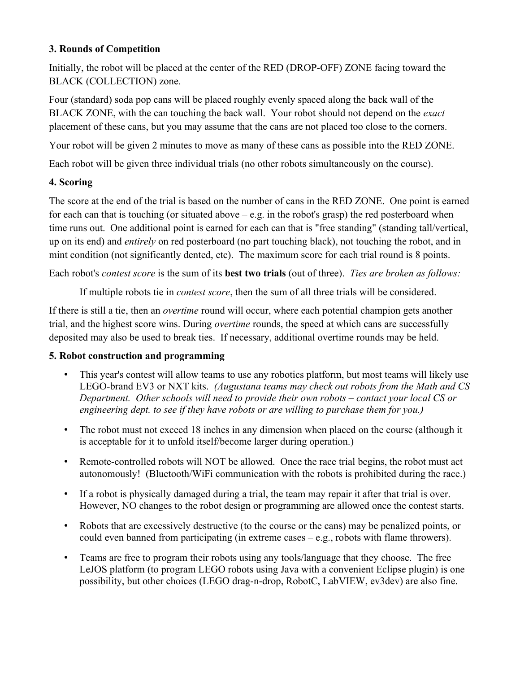#### **3. Rounds of Competition**

Initially, the robot will be placed at the center of the RED (DROP-OFF) ZONE facing toward the BLACK (COLLECTION) zone.

Four (standard) soda pop cans will be placed roughly evenly spaced along the back wall of the BLACK ZONE, with the can touching the back wall. Your robot should not depend on the *exact*  placement of these cans, but you may assume that the cans are not placed too close to the corners.

Your robot will be given 2 minutes to move as many of these cans as possible into the RED ZONE.

Each robot will be given three individual trials (no other robots simultaneously on the course).

#### **4. Scoring**

The score at the end of the trial is based on the number of cans in the RED ZONE. One point is earned for each can that is touching (or situated above – e.g. in the robot's grasp) the red posterboard when time runs out. One additional point is earned for each can that is "free standing" (standing tall/vertical, up on its end) and *entirely* on red posterboard (no part touching black), not touching the robot, and in mint condition (not significantly dented, etc). The maximum score for each trial round is 8 points.

Each robot's *contest score* is the sum of its **best two trials** (out of three). *Ties are broken as follows:*

If multiple robots tie in *contest score*, then the sum of all three trials will be considered.

If there is still a tie, then an *overtime* round will occur, where each potential champion gets another trial, and the highest score wins. During *overtime* rounds, the speed at which cans are successfully deposited may also be used to break ties. If necessary, additional overtime rounds may be held.

#### **5. Robot construction and programming**

- This year's contest will allow teams to use any robotics platform, but most teams will likely use LEGO-brand EV3 or NXT kits. *(Augustana teams may check out robots from the Math and CS Department. Other schools will need to provide their own robots – contact your local CS or engineering dept. to see if they have robots or are willing to purchase them for you.)*
- The robot must not exceed 18 inches in any dimension when placed on the course (although it is acceptable for it to unfold itself/become larger during operation.)
- Remote-controlled robots will NOT be allowed. Once the race trial begins, the robot must act autonomously! (Bluetooth/WiFi communication with the robots is prohibited during the race.)
- If a robot is physically damaged during a trial, the team may repair it after that trial is over. However, NO changes to the robot design or programming are allowed once the contest starts.
- Robots that are excessively destructive (to the course or the cans) may be penalized points, or could even banned from participating (in extreme cases – e.g., robots with flame throwers).
- Teams are free to program their robots using any tools/language that they choose. The free LeJOS platform (to program LEGO robots using Java with a convenient Eclipse plugin) is one possibility, but other choices (LEGO drag-n-drop, RobotC, LabVIEW, ev3dev) are also fine.